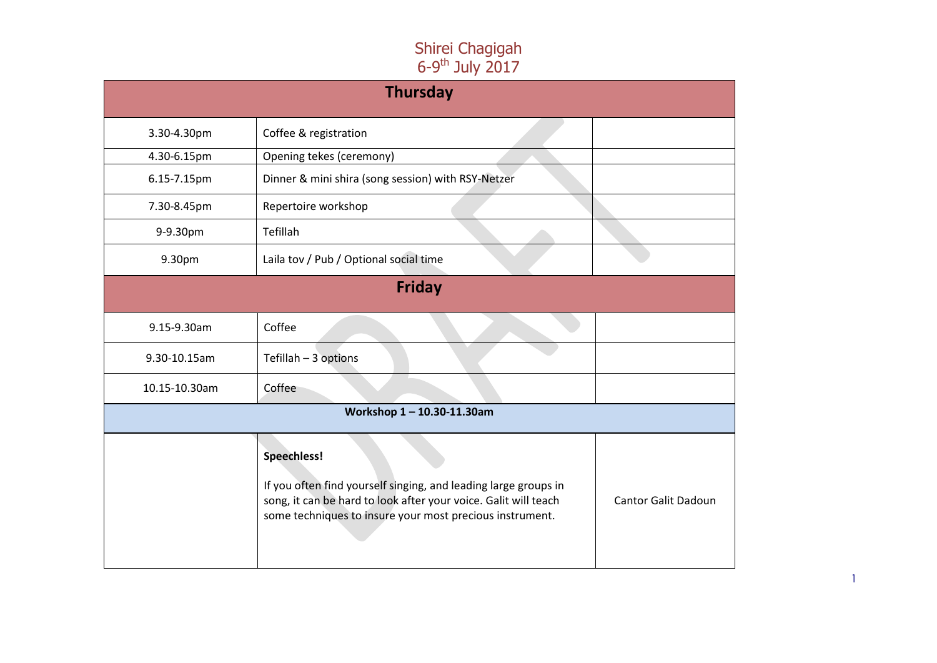| <b>Thursday</b> |                                                                                                                                                                                                               |                            |
|-----------------|---------------------------------------------------------------------------------------------------------------------------------------------------------------------------------------------------------------|----------------------------|
| 3.30-4.30pm     | Coffee & registration                                                                                                                                                                                         |                            |
| 4.30-6.15pm     | Opening tekes (ceremony)                                                                                                                                                                                      |                            |
| 6.15-7.15pm     | Dinner & mini shira (song session) with RSY-Netzer                                                                                                                                                            |                            |
| 7.30-8.45pm     | Repertoire workshop                                                                                                                                                                                           |                            |
| 9-9.30pm        | Tefillah                                                                                                                                                                                                      |                            |
| 9.30pm          | Laila tov / Pub / Optional social time                                                                                                                                                                        |                            |
| <b>Friday</b>   |                                                                                                                                                                                                               |                            |
| 9.15-9.30am     | Coffee                                                                                                                                                                                                        |                            |
| 9.30-10.15am    | Tefillah - 3 options                                                                                                                                                                                          |                            |
| 10.15-10.30am   | Coffee                                                                                                                                                                                                        |                            |
|                 | Workshop 1-10.30-11.30am                                                                                                                                                                                      |                            |
|                 | Speechless!<br>If you often find yourself singing, and leading large groups in<br>song, it can be hard to look after your voice. Galit will teach<br>some techniques to insure your most precious instrument. | <b>Cantor Galit Dadoun</b> |

1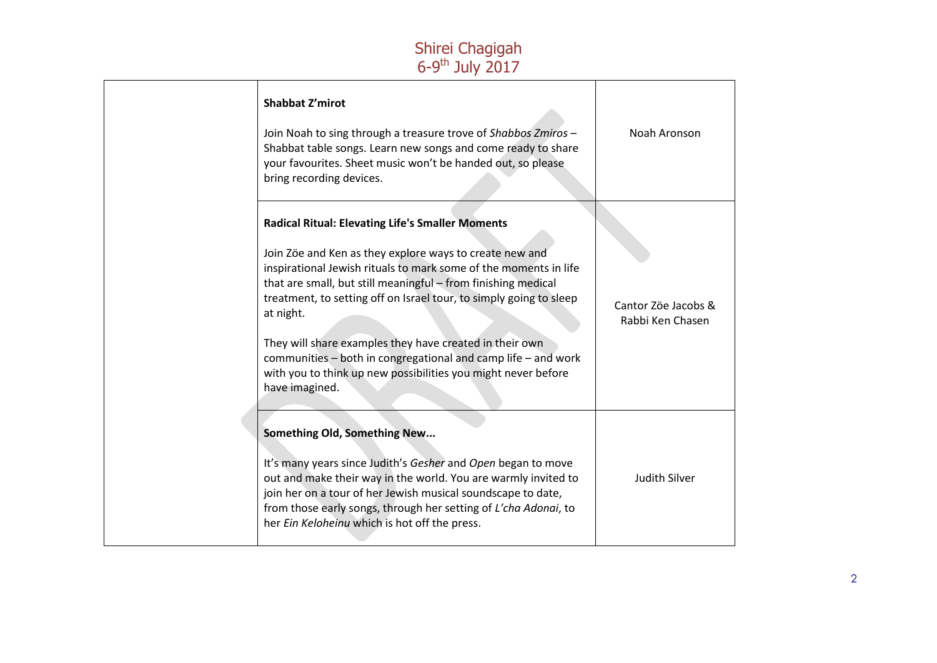| Shabbat Z'mirot<br>Join Noah to sing through a treasure trove of Shabbos Zmiros -<br>Shabbat table songs. Learn new songs and come ready to share<br>your favourites. Sheet music won't be handed out, so please<br>bring recording devices.                                                                                                                                                                                                                                                                                                              | Noah Aronson                            |
|-----------------------------------------------------------------------------------------------------------------------------------------------------------------------------------------------------------------------------------------------------------------------------------------------------------------------------------------------------------------------------------------------------------------------------------------------------------------------------------------------------------------------------------------------------------|-----------------------------------------|
| <b>Radical Ritual: Elevating Life's Smaller Moments</b><br>Join Zöe and Ken as they explore ways to create new and<br>inspirational Jewish rituals to mark some of the moments in life<br>that are small, but still meaningful - from finishing medical<br>treatment, to setting off on Israel tour, to simply going to sleep<br>at night.<br>They will share examples they have created in their own<br>communities – both in congregational and camp life – and work<br>with you to think up new possibilities you might never before<br>have imagined. | Cantor Zöe Jacobs &<br>Rabbi Ken Chasen |
| Something Old, Something New<br>It's many years since Judith's Gesher and Open began to move<br>out and make their way in the world. You are warmly invited to<br>join her on a tour of her Jewish musical soundscape to date,<br>from those early songs, through her setting of L'cha Adonai, to<br>her Ein Keloheinu which is hot off the press.                                                                                                                                                                                                        | <b>Judith Silver</b>                    |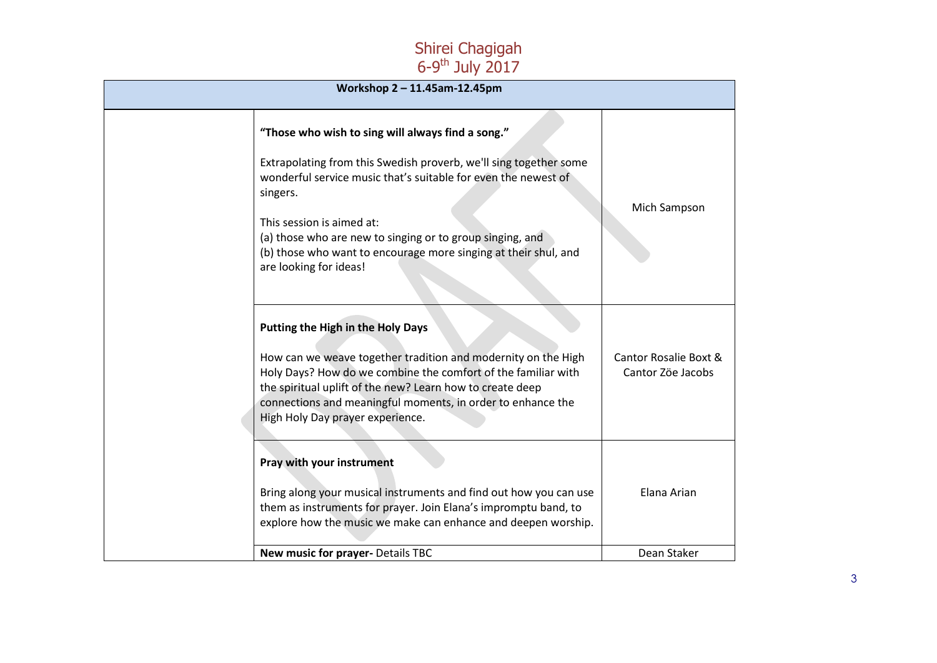| Workshop 2 - 11.45am-12.45pm                                                                                                                                                                                                                                                                                                                                                                |                                            |  |
|---------------------------------------------------------------------------------------------------------------------------------------------------------------------------------------------------------------------------------------------------------------------------------------------------------------------------------------------------------------------------------------------|--------------------------------------------|--|
| "Those who wish to sing will always find a song."<br>Extrapolating from this Swedish proverb, we'll sing together some<br>wonderful service music that's suitable for even the newest of<br>singers.<br>This session is aimed at:<br>(a) those who are new to singing or to group singing, and<br>(b) those who want to encourage more singing at their shul, and<br>are looking for ideas! | Mich Sampson                               |  |
| Putting the High in the Holy Days<br>How can we weave together tradition and modernity on the High<br>Holy Days? How do we combine the comfort of the familiar with<br>the spiritual uplift of the new? Learn how to create deep<br>connections and meaningful moments, in order to enhance the<br>High Holy Day prayer experience.                                                         | Cantor Rosalie Boxt &<br>Cantor Zöe Jacobs |  |
| Pray with your instrument<br>Bring along your musical instruments and find out how you can use<br>them as instruments for prayer. Join Elana's impromptu band, to<br>explore how the music we make can enhance and deepen worship.                                                                                                                                                          | Elana Arian                                |  |
| New music for prayer- Details TBC                                                                                                                                                                                                                                                                                                                                                           | Dean Staker                                |  |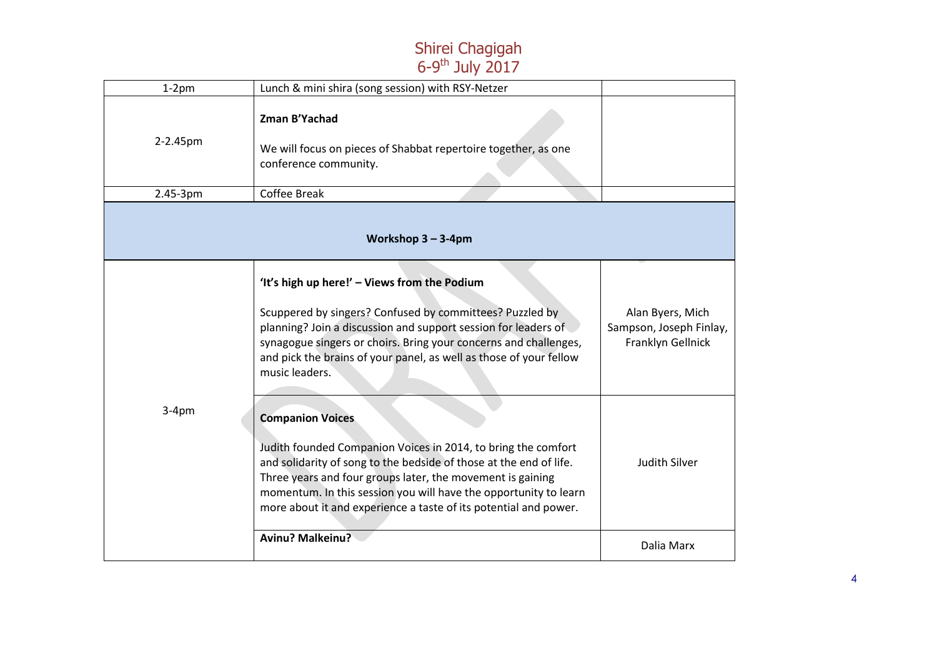| $1-2$ pm | Lunch & mini shira (song session) with RSY-Netzer                                                                                                                                                                                                                                                                                                                    |                                                                  |
|----------|----------------------------------------------------------------------------------------------------------------------------------------------------------------------------------------------------------------------------------------------------------------------------------------------------------------------------------------------------------------------|------------------------------------------------------------------|
| 2-2.45pm | Zman B'Yachad<br>We will focus on pieces of Shabbat repertoire together, as one<br>conference community.                                                                                                                                                                                                                                                             |                                                                  |
| 2.45-3pm | <b>Coffee Break</b>                                                                                                                                                                                                                                                                                                                                                  |                                                                  |
|          | Workshop $3 - 3-4$ pm                                                                                                                                                                                                                                                                                                                                                |                                                                  |
|          | 'It's high up here!' - Views from the Podium<br>Scuppered by singers? Confused by committees? Puzzled by<br>planning? Join a discussion and support session for leaders of<br>synagogue singers or choirs. Bring your concerns and challenges,<br>and pick the brains of your panel, as well as those of your fellow<br>music leaders.                               | Alan Byers, Mich<br>Sampson, Joseph Finlay,<br>Franklyn Gellnick |
| $3-4pm$  | <b>Companion Voices</b><br>Judith founded Companion Voices in 2014, to bring the comfort<br>and solidarity of song to the bedside of those at the end of life.<br>Three years and four groups later, the movement is gaining<br>momentum. In this session you will have the opportunity to learn<br>more about it and experience a taste of its potential and power. | Judith Silver                                                    |
|          | <b>Avinu? Malkeinu?</b>                                                                                                                                                                                                                                                                                                                                              | Dalia Marx                                                       |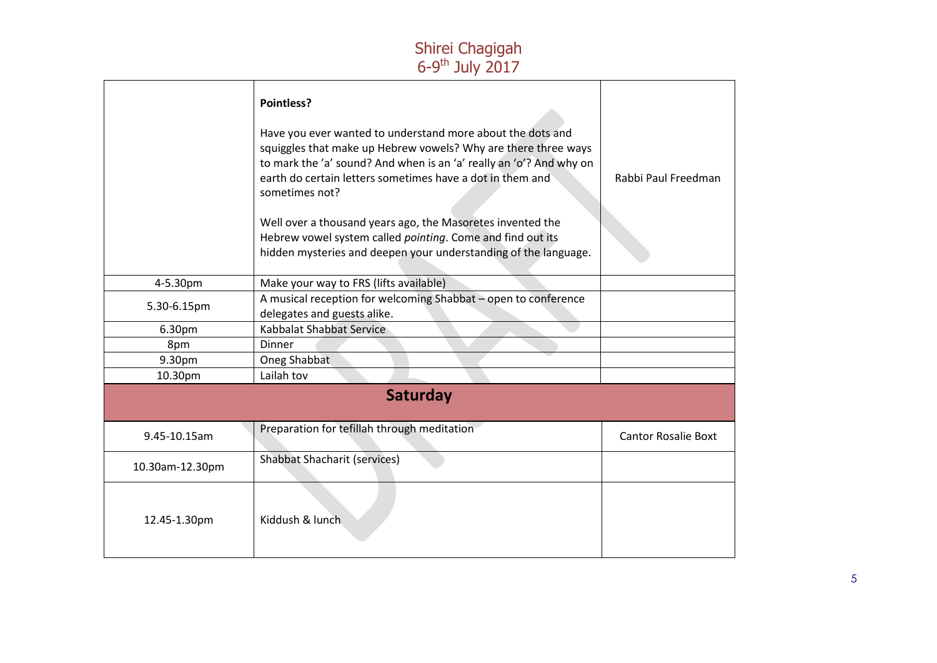|                 | Pointless?<br>Have you ever wanted to understand more about the dots and<br>squiggles that make up Hebrew vowels? Why are there three ways<br>to mark the 'a' sound? And when is an 'a' really an 'o'? And why on<br>earth do certain letters sometimes have a dot in them and<br>sometimes not?<br>Well over a thousand years ago, the Masoretes invented the<br>Hebrew vowel system called pointing. Come and find out its<br>hidden mysteries and deepen your understanding of the language. | Rabbi Paul Freedman        |
|-----------------|-------------------------------------------------------------------------------------------------------------------------------------------------------------------------------------------------------------------------------------------------------------------------------------------------------------------------------------------------------------------------------------------------------------------------------------------------------------------------------------------------|----------------------------|
| 4-5.30pm        | Make your way to FRS (lifts available)                                                                                                                                                                                                                                                                                                                                                                                                                                                          |                            |
| 5.30-6.15pm     | A musical reception for welcoming Shabbat - open to conference<br>delegates and guests alike.                                                                                                                                                                                                                                                                                                                                                                                                   |                            |
| 6.30pm          | Kabbalat Shabbat Service                                                                                                                                                                                                                                                                                                                                                                                                                                                                        |                            |
| 8pm             | Dinner                                                                                                                                                                                                                                                                                                                                                                                                                                                                                          |                            |
| 9.30pm          | Oneg Shabbat                                                                                                                                                                                                                                                                                                                                                                                                                                                                                    |                            |
| 10.30pm         | Lailah tov                                                                                                                                                                                                                                                                                                                                                                                                                                                                                      |                            |
|                 | <b>Saturday</b>                                                                                                                                                                                                                                                                                                                                                                                                                                                                                 |                            |
| 9.45-10.15am    | Preparation for tefillah through meditation                                                                                                                                                                                                                                                                                                                                                                                                                                                     | <b>Cantor Rosalie Boxt</b> |
| 10.30am-12.30pm | <b>Shabbat Shacharit (services)</b>                                                                                                                                                                                                                                                                                                                                                                                                                                                             |                            |
| 12.45-1.30pm    | Kiddush & lunch                                                                                                                                                                                                                                                                                                                                                                                                                                                                                 |                            |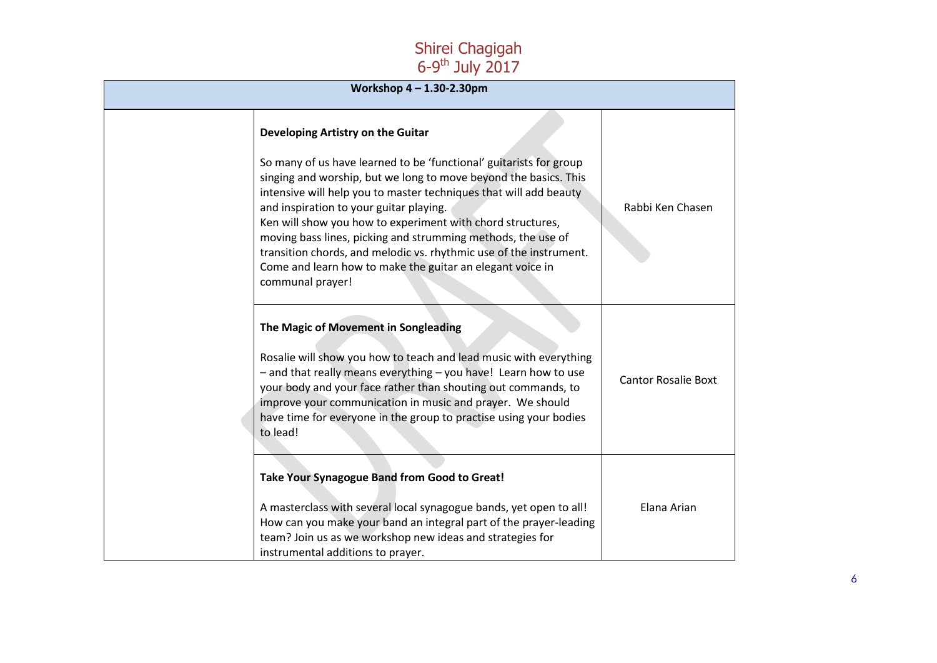| Workshop $4 - 1.30 - 2.30$ pm |                                                                                                                                                                                                                                                                                                                                                                                                                                                                                                                                             |                            |
|-------------------------------|---------------------------------------------------------------------------------------------------------------------------------------------------------------------------------------------------------------------------------------------------------------------------------------------------------------------------------------------------------------------------------------------------------------------------------------------------------------------------------------------------------------------------------------------|----------------------------|
|                               | Developing Artistry on the Guitar                                                                                                                                                                                                                                                                                                                                                                                                                                                                                                           |                            |
|                               | So many of us have learned to be 'functional' guitarists for group<br>singing and worship, but we long to move beyond the basics. This<br>intensive will help you to master techniques that will add beauty<br>and inspiration to your guitar playing.<br>Ken will show you how to experiment with chord structures,<br>moving bass lines, picking and strumming methods, the use of<br>transition chords, and melodic vs. rhythmic use of the instrument.<br>Come and learn how to make the guitar an elegant voice in<br>communal prayer! | Rabbi Ken Chasen           |
| to lead!                      | The Magic of Movement in Songleading<br>Rosalie will show you how to teach and lead music with everything<br>- and that really means everything - you have! Learn how to use<br>your body and your face rather than shouting out commands, to<br>improve your communication in music and prayer. We should<br>have time for everyone in the group to practise using your bodies                                                                                                                                                             | <b>Cantor Rosalie Boxt</b> |
|                               | Take Your Synagogue Band from Good to Great!<br>A masterclass with several local synagogue bands, yet open to all!<br>How can you make your band an integral part of the prayer-leading<br>team? Join us as we workshop new ideas and strategies for<br>instrumental additions to prayer.                                                                                                                                                                                                                                                   | Elana Arian                |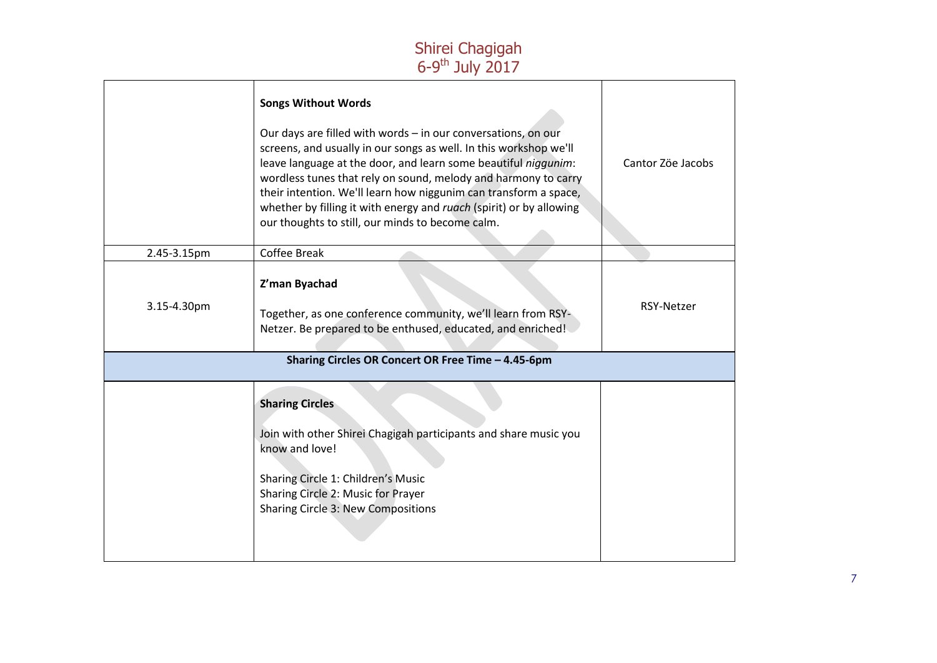|             | <b>Songs Without Words</b><br>Our days are filled with words - in our conversations, on our<br>screens, and usually in our songs as well. In this workshop we'll<br>leave language at the door, and learn some beautiful niggunim:<br>wordless tunes that rely on sound, melody and harmony to carry<br>their intention. We'll learn how niggunim can transform a space,<br>whether by filling it with energy and ruach (spirit) or by allowing<br>our thoughts to still, our minds to become calm. | Cantor Zöe Jacobs |
|-------------|-----------------------------------------------------------------------------------------------------------------------------------------------------------------------------------------------------------------------------------------------------------------------------------------------------------------------------------------------------------------------------------------------------------------------------------------------------------------------------------------------------|-------------------|
| 2.45-3.15pm | Coffee Break                                                                                                                                                                                                                                                                                                                                                                                                                                                                                        |                   |
| 3.15-4.30pm | Z'man Byachad<br>Together, as one conference community, we'll learn from RSY-<br>Netzer. Be prepared to be enthused, educated, and enriched!                                                                                                                                                                                                                                                                                                                                                        | <b>RSY-Netzer</b> |
|             | Sharing Circles OR Concert OR Free Time - 4.45-6pm                                                                                                                                                                                                                                                                                                                                                                                                                                                  |                   |
|             | <b>Sharing Circles</b><br>Join with other Shirei Chagigah participants and share music you<br>know and love!<br>Sharing Circle 1: Children's Music<br>Sharing Circle 2: Music for Prayer<br>Sharing Circle 3: New Compositions                                                                                                                                                                                                                                                                      |                   |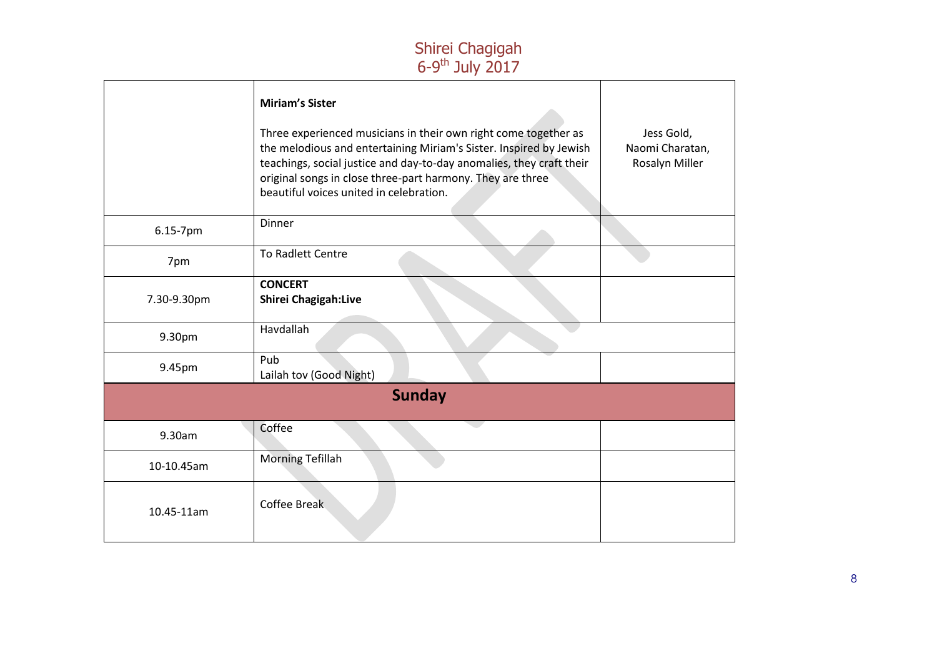|             | <b>Miriam's Sister</b><br>Three experienced musicians in their own right come together as<br>the melodious and entertaining Miriam's Sister. Inspired by Jewish<br>teachings, social justice and day-to-day anomalies, they craft their<br>original songs in close three-part harmony. They are three<br>beautiful voices united in celebration. | Jess Gold,<br>Naomi Charatan,<br>Rosalyn Miller |
|-------------|--------------------------------------------------------------------------------------------------------------------------------------------------------------------------------------------------------------------------------------------------------------------------------------------------------------------------------------------------|-------------------------------------------------|
| 6.15-7pm    | Dinner                                                                                                                                                                                                                                                                                                                                           |                                                 |
| 7pm         | To Radlett Centre                                                                                                                                                                                                                                                                                                                                |                                                 |
| 7.30-9.30pm | <b>CONCERT</b><br>Shirei Chagigah:Live                                                                                                                                                                                                                                                                                                           |                                                 |
| 9.30pm      | Havdallah                                                                                                                                                                                                                                                                                                                                        |                                                 |
| 9.45pm      | Pub<br>Lailah tov (Good Night)                                                                                                                                                                                                                                                                                                                   |                                                 |
|             | <b>Sunday</b>                                                                                                                                                                                                                                                                                                                                    |                                                 |
| 9.30am      | Coffee                                                                                                                                                                                                                                                                                                                                           |                                                 |
| 10-10.45am  | <b>Morning Tefillah</b>                                                                                                                                                                                                                                                                                                                          |                                                 |
| 10.45-11am  | <b>Coffee Break</b>                                                                                                                                                                                                                                                                                                                              |                                                 |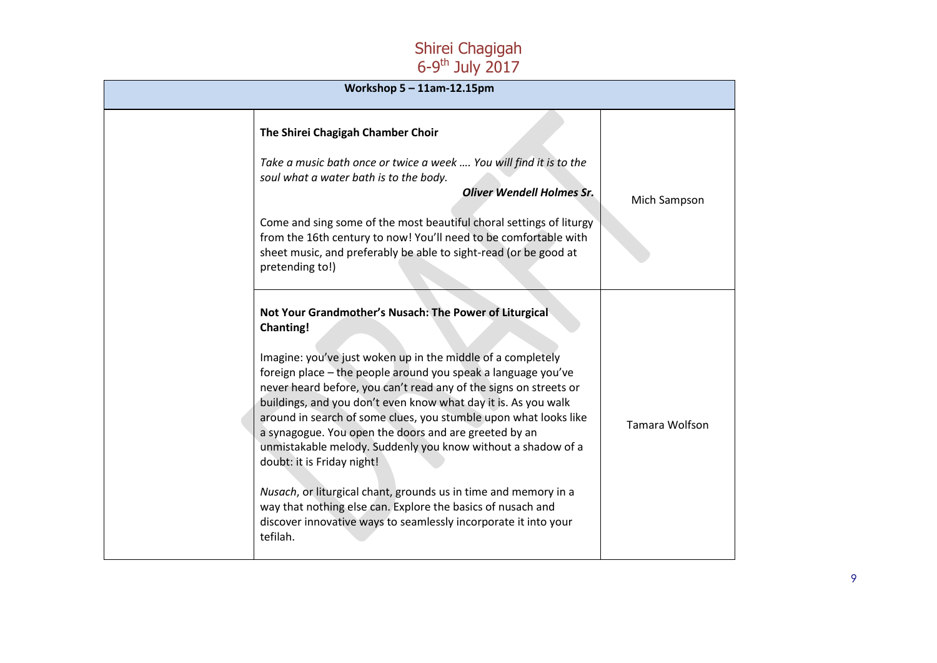| Workshop $5 - 11$ am-12.15pm |                                                                                                                                                                                                                                                                                                                                                                                                                                                                                                                                                                                                                                                                                                                                                                                               |                       |
|------------------------------|-----------------------------------------------------------------------------------------------------------------------------------------------------------------------------------------------------------------------------------------------------------------------------------------------------------------------------------------------------------------------------------------------------------------------------------------------------------------------------------------------------------------------------------------------------------------------------------------------------------------------------------------------------------------------------------------------------------------------------------------------------------------------------------------------|-----------------------|
|                              | The Shirei Chagigah Chamber Choir<br>Take a music bath once or twice a week  You will find it is to the<br>soul what a water bath is to the body.<br><b>Oliver Wendell Holmes Sr.</b><br>Come and sing some of the most beautiful choral settings of liturgy<br>from the 16th century to now! You'll need to be comfortable with<br>sheet music, and preferably be able to sight-read (or be good at<br>pretending to!)                                                                                                                                                                                                                                                                                                                                                                       | Mich Sampson          |
|                              | Not Your Grandmother's Nusach: The Power of Liturgical<br><b>Chanting!</b><br>Imagine: you've just woken up in the middle of a completely<br>foreign place - the people around you speak a language you've<br>never heard before, you can't read any of the signs on streets or<br>buildings, and you don't even know what day it is. As you walk<br>around in search of some clues, you stumble upon what looks like<br>a synagogue. You open the doors and are greeted by an<br>unmistakable melody. Suddenly you know without a shadow of a<br>doubt: it is Friday night!<br>Nusach, or liturgical chant, grounds us in time and memory in a<br>way that nothing else can. Explore the basics of nusach and<br>discover innovative ways to seamlessly incorporate it into your<br>tefilah. | <b>Tamara Wolfson</b> |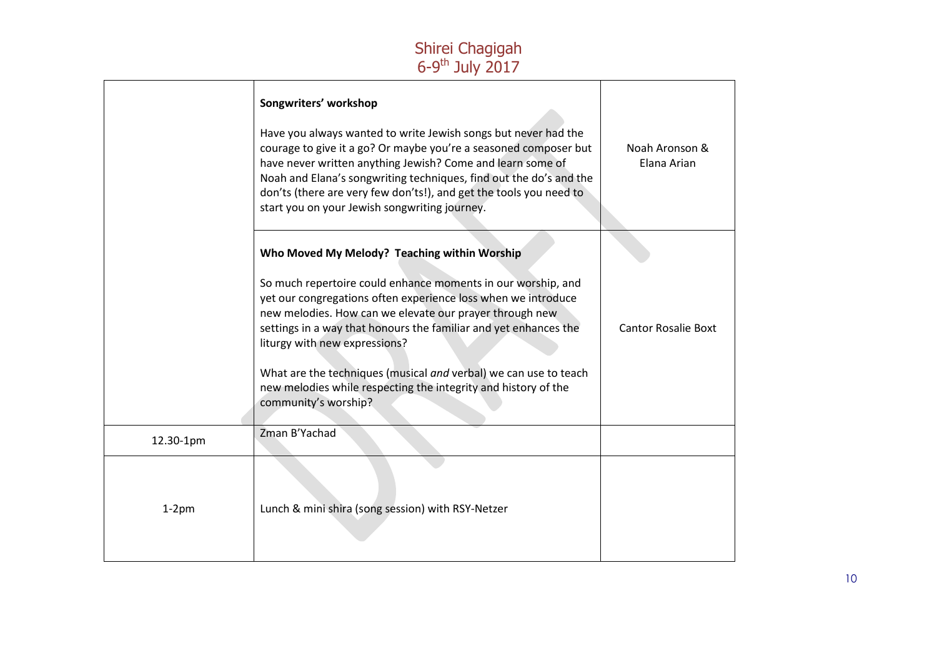|           | Songwriters' workshop<br>Have you always wanted to write Jewish songs but never had the<br>courage to give it a go? Or maybe you're a seasoned composer but<br>have never written anything Jewish? Come and learn some of<br>Noah and Elana's songwriting techniques, find out the do's and the<br>don'ts (there are very few don'ts!), and get the tools you need to<br>start you on your Jewish songwriting journey.                                      | Noah Aronson &<br>Elana Arian |
|-----------|-------------------------------------------------------------------------------------------------------------------------------------------------------------------------------------------------------------------------------------------------------------------------------------------------------------------------------------------------------------------------------------------------------------------------------------------------------------|-------------------------------|
|           | Who Moved My Melody? Teaching within Worship                                                                                                                                                                                                                                                                                                                                                                                                                |                               |
|           | So much repertoire could enhance moments in our worship, and<br>yet our congregations often experience loss when we introduce<br>new melodies. How can we elevate our prayer through new<br>settings in a way that honours the familiar and yet enhances the<br>liturgy with new expressions?<br>What are the techniques (musical and verbal) we can use to teach<br>new melodies while respecting the integrity and history of the<br>community's worship? | <b>Cantor Rosalie Boxt</b>    |
| 12.30-1pm | Zman B'Yachad                                                                                                                                                                                                                                                                                                                                                                                                                                               |                               |
| $1-2$ pm  | Lunch & mini shira (song session) with RSY-Netzer                                                                                                                                                                                                                                                                                                                                                                                                           |                               |